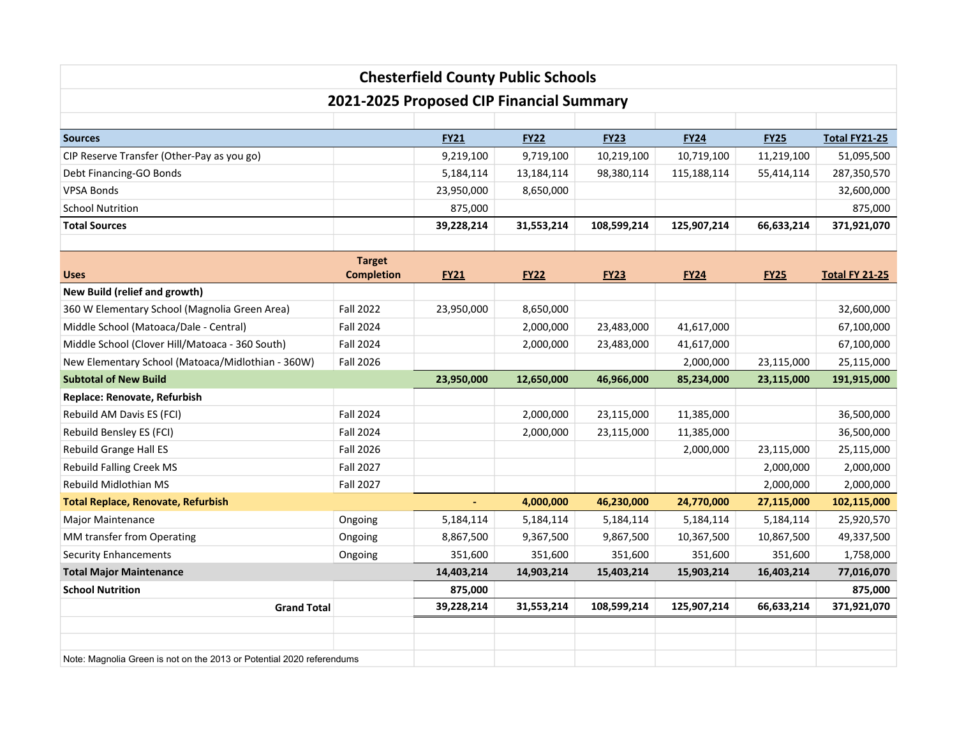|                                                                       |                                    | <b>Chesterfield County Public Schools</b> |             |             |             |             |                       |  |  |  |  |  |
|-----------------------------------------------------------------------|------------------------------------|-------------------------------------------|-------------|-------------|-------------|-------------|-----------------------|--|--|--|--|--|
| 2021-2025 Proposed CIP Financial Summary                              |                                    |                                           |             |             |             |             |                       |  |  |  |  |  |
|                                                                       |                                    |                                           |             |             |             |             |                       |  |  |  |  |  |
| <b>Sources</b>                                                        |                                    | <b>FY21</b>                               | <b>FY22</b> | <b>FY23</b> | <b>FY24</b> | <b>FY25</b> | <b>Total FY21-25</b>  |  |  |  |  |  |
| CIP Reserve Transfer (Other-Pay as you go)                            |                                    | 9,219,100                                 | 9,719,100   | 10,219,100  | 10,719,100  | 11,219,100  | 51,095,500            |  |  |  |  |  |
| Debt Financing-GO Bonds                                               |                                    | 5,184,114                                 | 13,184,114  | 98,380,114  | 115,188,114 | 55,414,114  | 287,350,570           |  |  |  |  |  |
| <b>VPSA Bonds</b>                                                     |                                    | 23,950,000                                | 8,650,000   |             |             |             | 32,600,000            |  |  |  |  |  |
| <b>School Nutrition</b>                                               |                                    | 875,000                                   |             |             |             |             | 875,000               |  |  |  |  |  |
| <b>Total Sources</b>                                                  |                                    | 39,228,214                                | 31,553,214  | 108,599,214 | 125,907,214 | 66,633,214  | 371,921,070           |  |  |  |  |  |
| <b>Uses</b>                                                           | <b>Target</b><br><b>Completion</b> | <b>FY21</b>                               | <b>FY22</b> | <b>FY23</b> | <b>FY24</b> | <b>FY25</b> | <b>Total FY 21-25</b> |  |  |  |  |  |
| New Build (relief and growth)                                         |                                    |                                           |             |             |             |             |                       |  |  |  |  |  |
| 360 W Elementary School (Magnolia Green Area)                         | <b>Fall 2022</b>                   | 23,950,000                                | 8,650,000   |             |             |             | 32,600,000            |  |  |  |  |  |
| Middle School (Matoaca/Dale - Central)                                | <b>Fall 2024</b>                   |                                           | 2,000,000   | 23,483,000  | 41,617,000  |             | 67,100,000            |  |  |  |  |  |
| Middle School (Clover Hill/Matoaca - 360 South)                       | Fall 2024                          |                                           | 2,000,000   | 23,483,000  | 41,617,000  |             | 67,100,000            |  |  |  |  |  |
| New Elementary School (Matoaca/Midlothian - 360W)                     | Fall 2026                          |                                           |             |             | 2,000,000   | 23,115,000  | 25,115,000            |  |  |  |  |  |
| <b>Subtotal of New Build</b>                                          |                                    | 23,950,000                                | 12,650,000  | 46,966,000  | 85,234,000  | 23,115,000  | 191,915,000           |  |  |  |  |  |
| Replace: Renovate, Refurbish                                          |                                    |                                           |             |             |             |             |                       |  |  |  |  |  |
| Rebuild AM Davis ES (FCI)                                             | Fall 2024                          |                                           | 2,000,000   | 23,115,000  | 11,385,000  |             | 36,500,000            |  |  |  |  |  |
| Rebuild Bensley ES (FCI)                                              | <b>Fall 2024</b>                   |                                           | 2,000,000   | 23,115,000  | 11,385,000  |             | 36,500,000            |  |  |  |  |  |
| Rebuild Grange Hall ES                                                | <b>Fall 2026</b>                   |                                           |             |             | 2,000,000   | 23,115,000  | 25,115,000            |  |  |  |  |  |
| <b>Rebuild Falling Creek MS</b>                                       | <b>Fall 2027</b>                   |                                           |             |             |             | 2,000,000   | 2,000,000             |  |  |  |  |  |
| Rebuild Midlothian MS                                                 | <b>Fall 2027</b>                   |                                           |             |             |             | 2,000,000   | 2,000,000             |  |  |  |  |  |
| <b>Total Replace, Renovate, Refurbish</b>                             |                                    | $\blacksquare$                            | 4,000,000   | 46,230,000  | 24,770,000  | 27,115,000  | 102,115,000           |  |  |  |  |  |
| <b>Major Maintenance</b>                                              | Ongoing                            | 5,184,114                                 | 5,184,114   | 5,184,114   | 5,184,114   | 5,184,114   | 25,920,570            |  |  |  |  |  |
| MM transfer from Operating                                            | Ongoing                            | 8,867,500                                 | 9,367,500   | 9,867,500   | 10,367,500  | 10,867,500  | 49,337,500            |  |  |  |  |  |
| <b>Security Enhancements</b>                                          | Ongoing                            | 351,600                                   | 351,600     | 351,600     | 351,600     | 351,600     | 1,758,000             |  |  |  |  |  |
| <b>Total Major Maintenance</b>                                        |                                    | 14,403,214                                | 14,903,214  | 15,403,214  | 15,903,214  | 16,403,214  | 77,016,070            |  |  |  |  |  |
| <b>School Nutrition</b>                                               |                                    | 875,000                                   |             |             |             |             | 875,000               |  |  |  |  |  |
| <b>Grand Total</b>                                                    |                                    | 39,228,214                                | 31,553,214  | 108,599,214 | 125,907,214 | 66,633,214  | 371,921,070           |  |  |  |  |  |
|                                                                       |                                    |                                           |             |             |             |             |                       |  |  |  |  |  |
| Note: Magnolia Green is not on the 2013 or Potential 2020 referendums |                                    |                                           |             |             |             |             |                       |  |  |  |  |  |